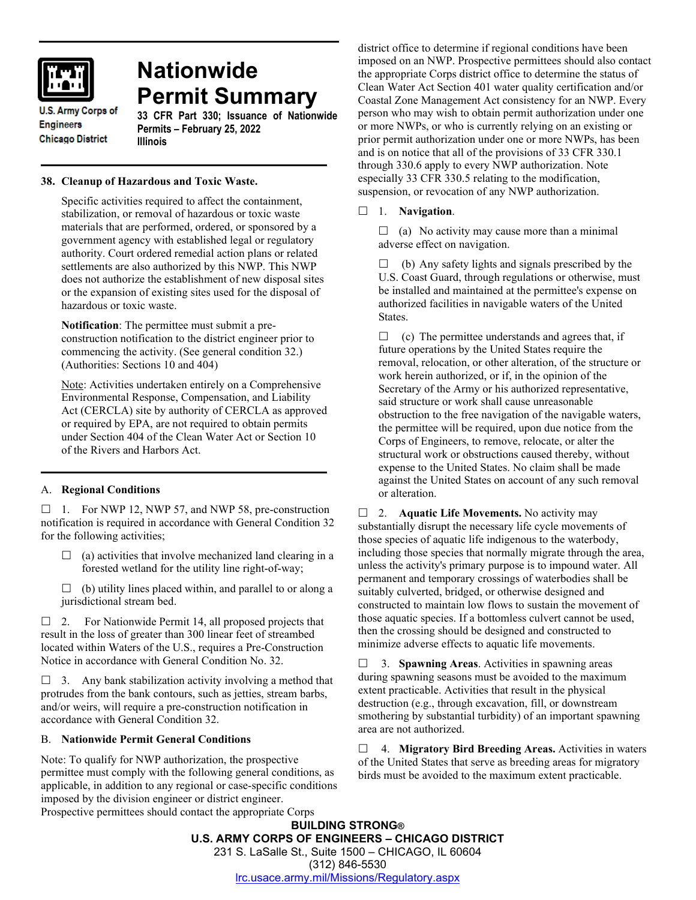

# **Nationwide Permit Summary**

**U.S. Army Corps of Engineers Chicago District** 

#### **33 CFR Part 330; Issuance of Nationwide Permits – February 25, 2022 Illinois**

# **38. Cleanup of Hazardous and Toxic Waste.**

Specific activities required to affect the containment, stabilization, or removal of hazardous or toxic waste materials that are performed, ordered, or sponsored by a government agency with established legal or regulatory authority. Court ordered remedial action plans or related settlements are also authorized by this NWP. This NWP does not authorize the establishment of new disposal sites or the expansion of existing sites used for the disposal of hazardous or toxic waste.

**Notification**: The permittee must submit a preconstruction notification to the district engineer prior to commencing the activity. (See general condition 32.) (Authorities: Sections 10 and 404)

Note: Activities undertaken entirely on a Comprehensive Environmental Response, Compensation, and Liability Act (CERCLA) site by authority of CERCLA as approved or required by EPA, are not required to obtain permits under Section 404 of the Clean Water Act or Section 10 of the Rivers and Harbors Act.

# A. **Regional Conditions**

 $\Box$  1. For NWP 12, NWP 57, and NWP 58, pre-construction notification is required in accordance with General Condition 32 for the following activities;

- $\Box$  (a) activities that involve mechanized land clearing in a forested wetland for the utility line right-of-way;
- $\Box$  (b) utility lines placed within, and parallel to or along a jurisdictional stream bed.

 $\Box$  2. For Nationwide Permit 14, all proposed projects that result in the loss of greater than 300 linear feet of streambed located within Waters of the U.S., requires a Pre-Construction Notice in accordance with General Condition No. 32.

 $\Box$  3. Any bank stabilization activity involving a method that protrudes from the bank contours, such as jetties, stream barbs, and/or weirs, will require a pre-construction notification in accordance with General Condition 32.

## B. **Nationwide Permit General Conditions**

Note: To qualify for NWP authorization, the prospective permittee must comply with the following general conditions, as applicable, in addition to any regional or case-specific conditions imposed by the division engineer or district engineer. Prospective permittees should contact the appropriate Corps

district office to determine if regional conditions have been imposed on an NWP. Prospective permittees should also contact the appropriate Corps district office to determine the status of Clean Water Act Section 401 water quality certification and/or Coastal Zone Management Act consistency for an NWP. Every person who may wish to obtain permit authorization under one or more NWPs, or who is currently relying on an existing or prior permit authorization under one or more NWPs, has been and is on notice that all of the provisions of 33 CFR 330.1 through 330.6 apply to every NWP authorization. Note especially 33 CFR 330.5 relating to the modification, suspension, or revocation of any NWP authorization.

## 1. **Navigation**.

 $\Box$  (a) No activity may cause more than a minimal adverse effect on navigation.

 $\Box$  (b) Any safety lights and signals prescribed by the U.S. Coast Guard, through regulations or otherwise, must be installed and maintained at the permittee's expense on authorized facilities in navigable waters of the United States.

 $\Box$  (c) The permittee understands and agrees that, if future operations by the United States require the removal, relocation, or other alteration, of the structure or work herein authorized, or if, in the opinion of the Secretary of the Army or his authorized representative, said structure or work shall cause unreasonable obstruction to the free navigation of the navigable waters, the permittee will be required, upon due notice from the Corps of Engineers, to remove, relocate, or alter the structural work or obstructions caused thereby, without expense to the United States. No claim shall be made against the United States on account of any such removal or alteration.

□ 2. **Aquatic Life Movements.** No activity may substantially disrupt the necessary life cycle movements of those species of aquatic life indigenous to the waterbody, including those species that normally migrate through the area, unless the activity's primary purpose is to impound water. All permanent and temporary crossings of waterbodies shall be suitably culverted, bridged, or otherwise designed and constructed to maintain low flows to sustain the movement of those aquatic species. If a bottomless culvert cannot be used, then the crossing should be designed and constructed to minimize adverse effects to aquatic life movements.

 3. **Spawning Areas**. Activities in spawning areas during spawning seasons must be avoided to the maximum extent practicable. Activities that result in the physical destruction (e.g., through excavation, fill, or downstream smothering by substantial turbidity) of an important spawning area are not authorized.

 4. **Migratory Bird Breeding Areas.** Activities in waters of the United States that serve as breeding areas for migratory birds must be avoided to the maximum extent practicable.

**BUILDING STRONG® U.S. ARMY CORPS OF ENGINEERS – CHICAGO DISTRICT** 231 S. LaSalle St., Suite 1500 – CHICAGO, IL 60604 (312) 846-5530 [lrc.usace.army.mil/Missions/Regulatory.aspx](https://www.lrc.usace.army.mil/Missions/Regulatory.aspx)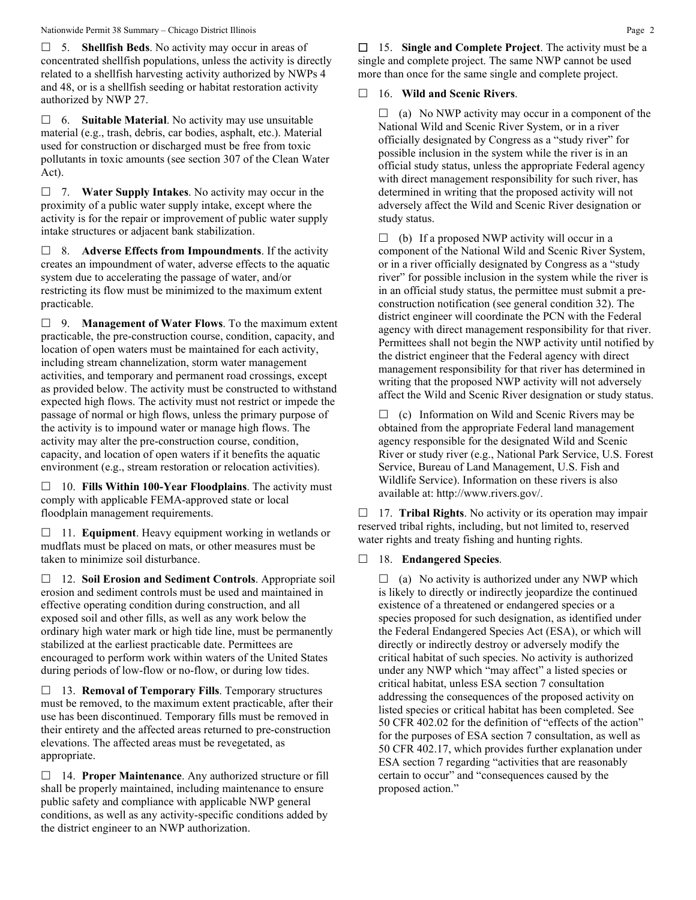5. **Shellfish Beds**. No activity may occur in areas of concentrated shellfish populations, unless the activity is directly related to a shellfish harvesting activity authorized by NWPs 4 and 48, or is a shellfish seeding or habitat restoration activity authorized by NWP 27.

 6. **Suitable Material**. No activity may use unsuitable material (e.g., trash, debris, car bodies, asphalt, etc.). Material used for construction or discharged must be free from toxic pollutants in toxic amounts (see section 307 of the Clean Water Act).

 7. **Water Supply Intakes**. No activity may occur in the proximity of a public water supply intake, except where the activity is for the repair or improvement of public water supply intake structures or adjacent bank stabilization.

 8. **Adverse Effects from Impoundments**. If the activity creates an impoundment of water, adverse effects to the aquatic system due to accelerating the passage of water, and/or restricting its flow must be minimized to the maximum extent practicable.

 9. **Management of Water Flows**. To the maximum extent practicable, the pre-construction course, condition, capacity, and location of open waters must be maintained for each activity, including stream channelization, storm water management activities, and temporary and permanent road crossings, except as provided below. The activity must be constructed to withstand expected high flows. The activity must not restrict or impede the passage of normal or high flows, unless the primary purpose of the activity is to impound water or manage high flows. The activity may alter the pre-construction course, condition, capacity, and location of open waters if it benefits the aquatic environment (e.g., stream restoration or relocation activities).

 10. **Fills Within 100-Year Floodplains**. The activity must comply with applicable FEMA-approved state or local floodplain management requirements.

 11. **Equipment**. Heavy equipment working in wetlands or mudflats must be placed on mats, or other measures must be taken to minimize soil disturbance.

 12. **Soil Erosion and Sediment Controls**. Appropriate soil erosion and sediment controls must be used and maintained in effective operating condition during construction, and all exposed soil and other fills, as well as any work below the ordinary high water mark or high tide line, must be permanently stabilized at the earliest practicable date. Permittees are encouraged to perform work within waters of the United States during periods of low-flow or no-flow, or during low tides.

 13. **Removal of Temporary Fills**. Temporary structures must be removed, to the maximum extent practicable, after their use has been discontinued. Temporary fills must be removed in their entirety and the affected areas returned to pre-construction elevations. The affected areas must be revegetated, as appropriate.

 14. **Proper Maintenance**. Any authorized structure or fill shall be properly maintained, including maintenance to ensure public safety and compliance with applicable NWP general conditions, as well as any activity-specific conditions added by the district engineer to an NWP authorization.

 15. **Single and Complete Project**. The activity must be a single and complete project. The same NWP cannot be used more than once for the same single and complete project.

## 16. **Wild and Scenic Rivers**.

 $\Box$  (a) No NWP activity may occur in a component of the National Wild and Scenic River System, or in a river officially designated by Congress as a "study river" for possible inclusion in the system while the river is in an official study status, unless the appropriate Federal agency with direct management responsibility for such river, has determined in writing that the proposed activity will not adversely affect the Wild and Scenic River designation or study status.

 $\Box$  (b) If a proposed NWP activity will occur in a component of the National Wild and Scenic River System, or in a river officially designated by Congress as a "study river" for possible inclusion in the system while the river is in an official study status, the permittee must submit a preconstruction notification (see general condition 32). The district engineer will coordinate the PCN with the Federal agency with direct management responsibility for that river. Permittees shall not begin the NWP activity until notified by the district engineer that the Federal agency with direct management responsibility for that river has determined in writing that the proposed NWP activity will not adversely affect the Wild and Scenic River designation or study status.

 $\Box$  (c) Information on Wild and Scenic Rivers may be obtained from the appropriate Federal land management agency responsible for the designated Wild and Scenic River or study river (e.g., National Park Service, U.S. Forest Service, Bureau of Land Management, U.S. Fish and Wildlife Service). Information on these rivers is also available at: http://www.rivers.gov/.

 17. **Tribal Rights**. No activity or its operation may impair reserved tribal rights, including, but not limited to, reserved water rights and treaty fishing and hunting rights.

## 18. **Endangered Species**.

 $\Box$  (a) No activity is authorized under any NWP which is likely to directly or indirectly jeopardize the continued existence of a threatened or endangered species or a species proposed for such designation, as identified under the Federal Endangered Species Act (ESA), or which will directly or indirectly destroy or adversely modify the critical habitat of such species. No activity is authorized under any NWP which "may affect" a listed species or critical habitat, unless ESA section 7 consultation addressing the consequences of the proposed activity on listed species or critical habitat has been completed. See 50 CFR 402.02 for the definition of "effects of the action" for the purposes of ESA section 7 consultation, as well as 50 CFR 402.17, which provides further explanation under ESA section 7 regarding "activities that are reasonably certain to occur" and "consequences caused by the proposed action."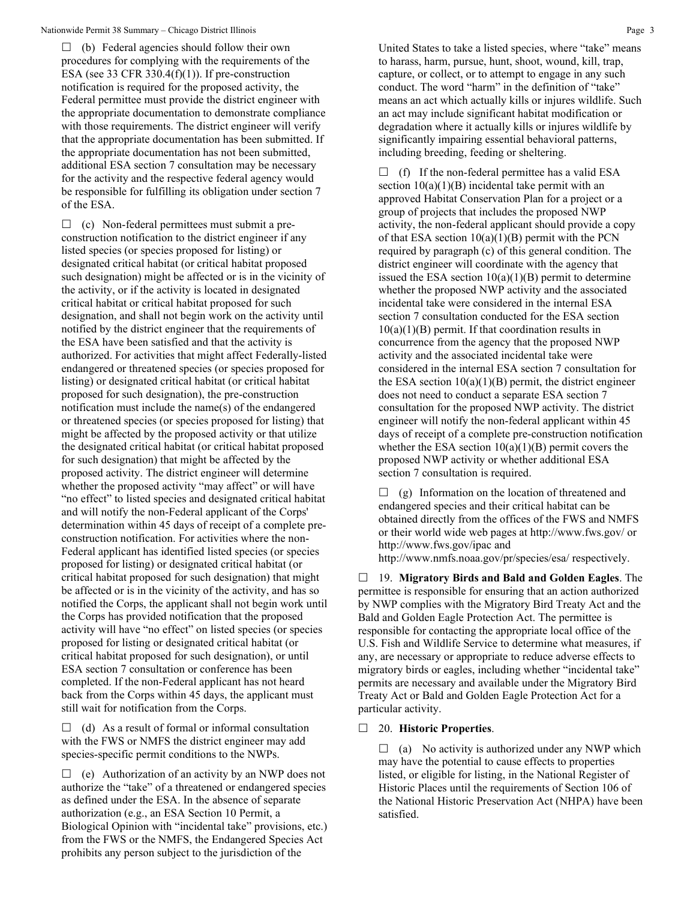$\Box$  (b) Federal agencies should follow their own procedures for complying with the requirements of the ESA (see 33 CFR 330.4 $(f)(1)$ ). If pre-construction notification is required for the proposed activity, the Federal permittee must provide the district engineer with the appropriate documentation to demonstrate compliance with those requirements. The district engineer will verify that the appropriate documentation has been submitted. If the appropriate documentation has not been submitted, additional ESA section 7 consultation may be necessary for the activity and the respective federal agency would be responsible for fulfilling its obligation under section 7 of the ESA.

 $\Box$  (c) Non-federal permittees must submit a preconstruction notification to the district engineer if any listed species (or species proposed for listing) or designated critical habitat (or critical habitat proposed such designation) might be affected or is in the vicinity of the activity, or if the activity is located in designated critical habitat or critical habitat proposed for such designation, and shall not begin work on the activity until notified by the district engineer that the requirements of the ESA have been satisfied and that the activity is authorized. For activities that might affect Federally-listed endangered or threatened species (or species proposed for listing) or designated critical habitat (or critical habitat proposed for such designation), the pre-construction notification must include the name(s) of the endangered or threatened species (or species proposed for listing) that might be affected by the proposed activity or that utilize the designated critical habitat (or critical habitat proposed for such designation) that might be affected by the proposed activity. The district engineer will determine whether the proposed activity "may affect" or will have "no effect" to listed species and designated critical habitat and will notify the non-Federal applicant of the Corps' determination within 45 days of receipt of a complete preconstruction notification. For activities where the non-Federal applicant has identified listed species (or species proposed for listing) or designated critical habitat (or critical habitat proposed for such designation) that might be affected or is in the vicinity of the activity, and has so notified the Corps, the applicant shall not begin work until the Corps has provided notification that the proposed activity will have "no effect" on listed species (or species proposed for listing or designated critical habitat (or critical habitat proposed for such designation), or until ESA section 7 consultation or conference has been completed. If the non-Federal applicant has not heard back from the Corps within 45 days, the applicant must still wait for notification from the Corps.

 $\Box$  (d) As a result of formal or informal consultation with the FWS or NMFS the district engineer may add species-specific permit conditions to the NWPs.

 $\Box$  (e) Authorization of an activity by an NWP does not authorize the "take" of a threatened or endangered species as defined under the ESA. In the absence of separate authorization (e.g., an ESA Section 10 Permit, a Biological Opinion with "incidental take" provisions, etc.) from the FWS or the NMFS, the Endangered Species Act prohibits any person subject to the jurisdiction of the

 $\Box$  (f) If the non-federal permittee has a valid ESA section  $10(a)(1)(B)$  incidental take permit with an approved Habitat Conservation Plan for a project or a group of projects that includes the proposed NWP activity, the non-federal applicant should provide a copy of that ESA section  $10(a)(1)(B)$  permit with the PCN required by paragraph (c) of this general condition. The district engineer will coordinate with the agency that issued the ESA section  $10(a)(1)(B)$  permit to determine whether the proposed NWP activity and the associated incidental take were considered in the internal ESA section 7 consultation conducted for the ESA section  $10(a)(1)(B)$  permit. If that coordination results in concurrence from the agency that the proposed NWP activity and the associated incidental take were considered in the internal ESA section 7 consultation for the ESA section  $10(a)(1)(B)$  permit, the district engineer does not need to conduct a separate ESA section 7 consultation for the proposed NWP activity. The district engineer will notify the non-federal applicant within 45 days of receipt of a complete pre-construction notification whether the ESA section  $10(a)(1)(B)$  permit covers the proposed NWP activity or whether additional ESA section 7 consultation is required.

 $\Box$  (g) Information on the location of threatened and endangered species and their critical habitat can be obtained directly from the offices of the FWS and NMFS or their world wide web pages at http://www.fws.gov/ or http://www.fws.gov/ipac and

http://www.nmfs.noaa.gov/pr/species/esa/ respectively.

 19. **Migratory Birds and Bald and Golden Eagles**. The permittee is responsible for ensuring that an action authorized by NWP complies with the Migratory Bird Treaty Act and the Bald and Golden Eagle Protection Act. The permittee is responsible for contacting the appropriate local office of the U.S. Fish and Wildlife Service to determine what measures, if any, are necessary or appropriate to reduce adverse effects to migratory birds or eagles, including whether "incidental take" permits are necessary and available under the Migratory Bird Treaty Act or Bald and Golden Eagle Protection Act for a particular activity.

#### 20. **Historic Properties**.

 $\Box$  (a) No activity is authorized under any NWP which may have the potential to cause effects to properties listed, or eligible for listing, in the National Register of Historic Places until the requirements of Section 106 of the National Historic Preservation Act (NHPA) have been satisfied.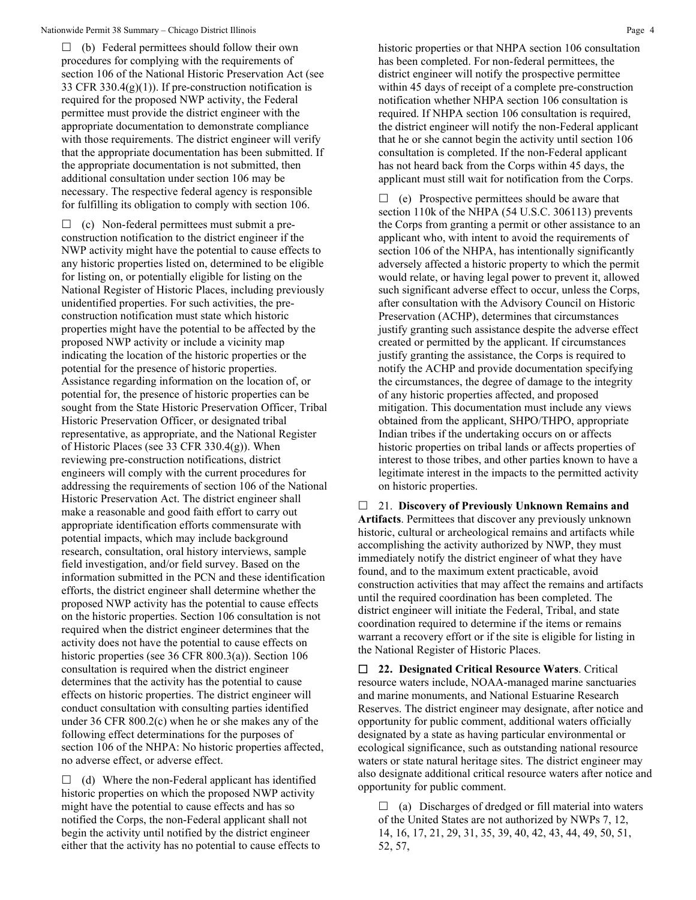$\Box$  (b) Federal permittees should follow their own procedures for complying with the requirements of section 106 of the National Historic Preservation Act (see 33 CFR 330.4 $(g)(1)$ ). If pre-construction notification is required for the proposed NWP activity, the Federal permittee must provide the district engineer with the appropriate documentation to demonstrate compliance with those requirements. The district engineer will verify that the appropriate documentation has been submitted. If the appropriate documentation is not submitted, then additional consultation under section 106 may be necessary. The respective federal agency is responsible for fulfilling its obligation to comply with section 106.

 $\Box$  (c) Non-federal permittees must submit a preconstruction notification to the district engineer if the NWP activity might have the potential to cause effects to any historic properties listed on, determined to be eligible for listing on, or potentially eligible for listing on the National Register of Historic Places, including previously unidentified properties. For such activities, the preconstruction notification must state which historic properties might have the potential to be affected by the proposed NWP activity or include a vicinity map indicating the location of the historic properties or the potential for the presence of historic properties. Assistance regarding information on the location of, or potential for, the presence of historic properties can be sought from the State Historic Preservation Officer, Tribal Historic Preservation Officer, or designated tribal representative, as appropriate, and the National Register of Historic Places (see 33 CFR 330.4(g)). When reviewing pre-construction notifications, district engineers will comply with the current procedures for addressing the requirements of section 106 of the National Historic Preservation Act. The district engineer shall make a reasonable and good faith effort to carry out appropriate identification efforts commensurate with potential impacts, which may include background research, consultation, oral history interviews, sample field investigation, and/or field survey. Based on the information submitted in the PCN and these identification efforts, the district engineer shall determine whether the proposed NWP activity has the potential to cause effects on the historic properties. Section 106 consultation is not required when the district engineer determines that the activity does not have the potential to cause effects on historic properties (see 36 CFR 800.3(a)). Section 106 consultation is required when the district engineer determines that the activity has the potential to cause effects on historic properties. The district engineer will conduct consultation with consulting parties identified under 36 CFR 800.2(c) when he or she makes any of the following effect determinations for the purposes of section 106 of the NHPA: No historic properties affected, no adverse effect, or adverse effect.

 $\Box$  (d) Where the non-Federal applicant has identified historic properties on which the proposed NWP activity might have the potential to cause effects and has so notified the Corps, the non-Federal applicant shall not begin the activity until notified by the district engineer either that the activity has no potential to cause effects to historic properties or that NHPA section 106 consultation has been completed. For non-federal permittees, the district engineer will notify the prospective permittee within 45 days of receipt of a complete pre-construction notification whether NHPA section 106 consultation is required. If NHPA section 106 consultation is required, the district engineer will notify the non-Federal applicant that he or she cannot begin the activity until section 106 consultation is completed. If the non-Federal applicant has not heard back from the Corps within 45 days, the applicant must still wait for notification from the Corps.

 $\Box$  (e) Prospective permittees should be aware that section 110k of the NHPA (54 U.S.C. 306113) prevents the Corps from granting a permit or other assistance to an applicant who, with intent to avoid the requirements of section 106 of the NHPA, has intentionally significantly adversely affected a historic property to which the permit would relate, or having legal power to prevent it, allowed such significant adverse effect to occur, unless the Corps, after consultation with the Advisory Council on Historic Preservation (ACHP), determines that circumstances justify granting such assistance despite the adverse effect created or permitted by the applicant. If circumstances justify granting the assistance, the Corps is required to notify the ACHP and provide documentation specifying the circumstances, the degree of damage to the integrity of any historic properties affected, and proposed mitigation. This documentation must include any views obtained from the applicant, SHPO/THPO, appropriate Indian tribes if the undertaking occurs on or affects historic properties on tribal lands or affects properties of interest to those tribes, and other parties known to have a legitimate interest in the impacts to the permitted activity on historic properties.

 21. **Discovery of Previously Unknown Remains and Artifacts**. Permittees that discover any previously unknown historic, cultural or archeological remains and artifacts while accomplishing the activity authorized by NWP, they must immediately notify the district engineer of what they have found, and to the maximum extent practicable, avoid construction activities that may affect the remains and artifacts until the required coordination has been completed. The district engineer will initiate the Federal, Tribal, and state coordination required to determine if the items or remains warrant a recovery effort or if the site is eligible for listing in the National Register of Historic Places.

 **22. Designated Critical Resource Waters**. Critical resource waters include, NOAA-managed marine sanctuaries and marine monuments, and National Estuarine Research Reserves. The district engineer may designate, after notice and opportunity for public comment, additional waters officially designated by a state as having particular environmental or ecological significance, such as outstanding national resource waters or state natural heritage sites. The district engineer may also designate additional critical resource waters after notice and opportunity for public comment.

 $\Box$  (a) Discharges of dredged or fill material into waters of the United States are not authorized by NWPs 7, 12, 14, 16, 17, 21, 29, 31, 35, 39, 40, 42, 43, 44, 49, 50, 51, 52, 57,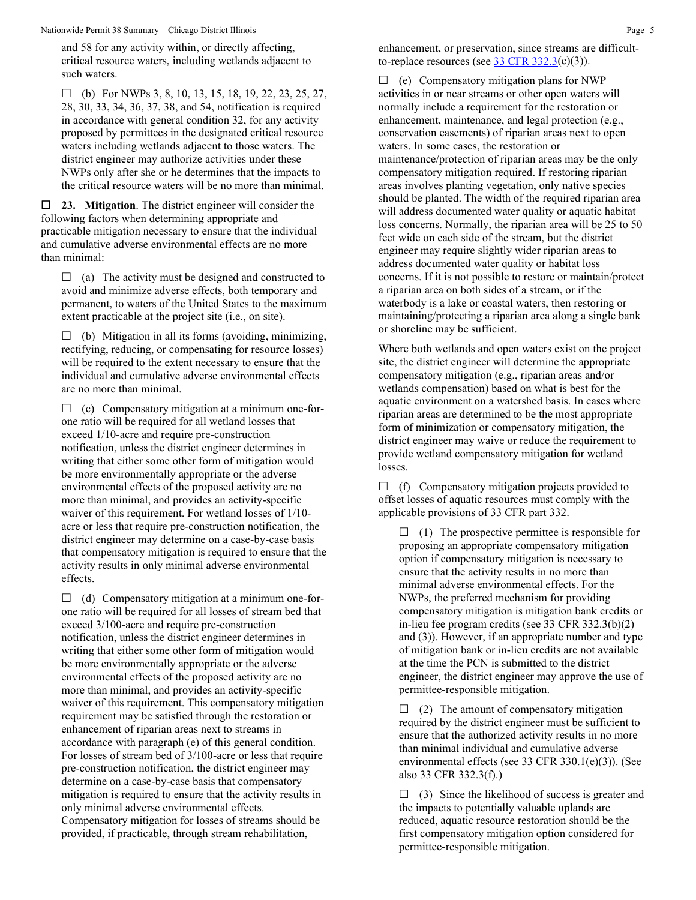Nationwide Permit 38 Summary – Chicago District Illinois **Page 5** All the State of the State of the State of the State of the State of the State of the State of the State of the State of the State of the State of the State

and 58 for any activity within, or directly affecting, critical resource waters, including wetlands adjacent to such waters.

 $\Box$  (b) For NWPs 3, 8, 10, 13, 15, 18, 19, 22, 23, 25, 27, 28, 30, 33, 34, 36, 37, 38, and 54, notification is required in accordance with general condition 32, for any activity proposed by permittees in the designated critical resource waters including wetlands adjacent to those waters. The district engineer may authorize activities under these NWPs only after she or he determines that the impacts to the critical resource waters will be no more than minimal.

 **23. Mitigation**. The district engineer will consider the following factors when determining appropriate and practicable mitigation necessary to ensure that the individual and cumulative adverse environmental effects are no more than minimal:

 $\Box$  (a) The activity must be designed and constructed to avoid and minimize adverse effects, both temporary and permanent, to waters of the United States to the maximum extent practicable at the project site (i.e., on site).

 $\Box$  (b) Mitigation in all its forms (avoiding, minimizing, rectifying, reducing, or compensating for resource losses) will be required to the extent necessary to ensure that the individual and cumulative adverse environmental effects are no more than minimal.

 $\Box$  (c) Compensatory mitigation at a minimum one-forone ratio will be required for all wetland losses that exceed 1/10-acre and require pre-construction notification, unless the district engineer determines in writing that either some other form of mitigation would be more environmentally appropriate or the adverse environmental effects of the proposed activity are no more than minimal, and provides an activity-specific waiver of this requirement. For wetland losses of 1/10 acre or less that require pre-construction notification, the district engineer may determine on a case-by-case basis that compensatory mitigation is required to ensure that the activity results in only minimal adverse environmental effects.

 $\Box$  (d) Compensatory mitigation at a minimum one-forone ratio will be required for all losses of stream bed that exceed 3/100-acre and require pre-construction notification, unless the district engineer determines in writing that either some other form of mitigation would be more environmentally appropriate or the adverse environmental effects of the proposed activity are no more than minimal, and provides an activity-specific waiver of this requirement. This compensatory mitigation requirement may be satisfied through the restoration or enhancement of riparian areas next to streams in accordance with paragraph (e) of this general condition. For losses of stream bed of 3/100-acre or less that require pre-construction notification, the district engineer may determine on a case-by-case basis that compensatory mitigation is required to ensure that the activity results in only minimal adverse environmental effects. Compensatory mitigation for losses of streams should be provided, if practicable, through stream rehabilitation,

enhancement, or preservation, since streams are difficultto-replace resources (see  $\frac{33 \text{ CFR } 332.3(e)(3)}{25}$ .

 $\Box$  (e) Compensatory mitigation plans for NWP activities in or near streams or other open waters will normally include a requirement for the restoration or enhancement, maintenance, and legal protection (e.g., conservation easements) of riparian areas next to open waters. In some cases, the restoration or maintenance/protection of riparian areas may be the only compensatory mitigation required. If restoring riparian areas involves planting vegetation, only native species should be planted. The width of the required riparian area will address documented water quality or aquatic habitat loss concerns. Normally, the riparian area will be 25 to 50 feet wide on each side of the stream, but the district engineer may require slightly wider riparian areas to address documented water quality or habitat loss concerns. If it is not possible to restore or maintain/protect a riparian area on both sides of a stream, or if the waterbody is a lake or coastal waters, then restoring or maintaining/protecting a riparian area along a single bank or shoreline may be sufficient.

Where both wetlands and open waters exist on the project site, the district engineer will determine the appropriate compensatory mitigation (e.g., riparian areas and/or wetlands compensation) based on what is best for the aquatic environment on a watershed basis. In cases where riparian areas are determined to be the most appropriate form of minimization or compensatory mitigation, the district engineer may waive or reduce the requirement to provide wetland compensatory mitigation for wetland losses.

 $\Box$  (f) Compensatory mitigation projects provided to offset losses of aquatic resources must comply with the applicable provisions of 33 CFR part 332.

 $\Box$  (1) The prospective permittee is responsible for proposing an appropriate compensatory mitigation option if compensatory mitigation is necessary to ensure that the activity results in no more than minimal adverse environmental effects. For the NWPs, the preferred mechanism for providing compensatory mitigation is mitigation bank credits or in-lieu fee program credits (see 33 CFR 332.3(b)(2) and (3)). However, if an appropriate number and type of mitigation bank or in-lieu credits are not available at the time the PCN is submitted to the district engineer, the district engineer may approve the use of permittee-responsible mitigation.

 $\Box$  (2) The amount of compensatory mitigation required by the district engineer must be sufficient to ensure that the authorized activity results in no more than minimal individual and cumulative adverse environmental effects (see 33 CFR 330.1(e)(3)). (See also 33 CFR 332.3(f).)

 $\Box$  (3) Since the likelihood of success is greater and the impacts to potentially valuable uplands are reduced, aquatic resource restoration should be the first compensatory mitigation option considered for permittee-responsible mitigation.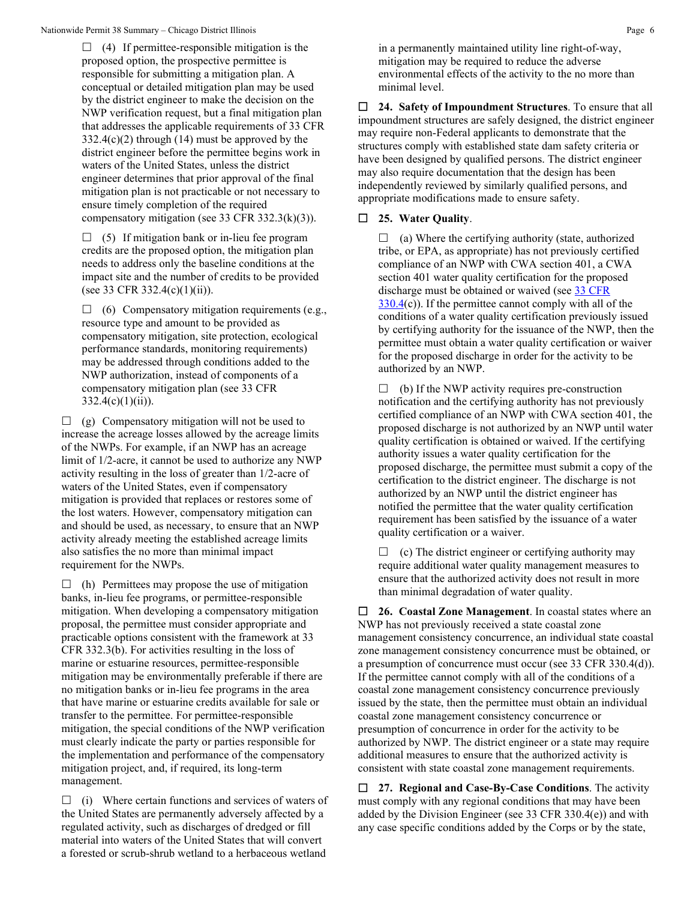$\Box$  (4) If permittee-responsible mitigation is the proposed option, the prospective permittee is responsible for submitting a mitigation plan. A conceptual or detailed mitigation plan may be used by the district engineer to make the decision on the NWP verification request, but a final mitigation plan that addresses the applicable requirements of 33 CFR  $332.4(c)(2)$  through (14) must be approved by the district engineer before the permittee begins work in waters of the United States, unless the district engineer determines that prior approval of the final mitigation plan is not practicable or not necessary to ensure timely completion of the required compensatory mitigation (see 33 CFR 332.3(k)(3)).

 $\Box$  (5) If mitigation bank or in-lieu fee program credits are the proposed option, the mitigation plan needs to address only the baseline conditions at the impact site and the number of credits to be provided (see 33 CFR 332.4(c)(1)(ii)).

 $\Box$  (6) Compensatory mitigation requirements (e.g., resource type and amount to be provided as compensatory mitigation, site protection, ecological performance standards, monitoring requirements) may be addressed through conditions added to the NWP authorization, instead of components of a compensatory mitigation plan (see 33 CFR  $332.4(c)(1)(ii)$ .

 $\Box$  (g) Compensatory mitigation will not be used to increase the acreage losses allowed by the acreage limits of the NWPs. For example, if an NWP has an acreage limit of 1/2-acre, it cannot be used to authorize any NWP activity resulting in the loss of greater than 1/2-acre of waters of the United States, even if compensatory mitigation is provided that replaces or restores some of the lost waters. However, compensatory mitigation can and should be used, as necessary, to ensure that an NWP activity already meeting the established acreage limits also satisfies the no more than minimal impact requirement for the NWPs.

 $\Box$  (h) Permittees may propose the use of mitigation banks, in-lieu fee programs, or permittee-responsible mitigation. When developing a compensatory mitigation proposal, the permittee must consider appropriate and practicable options consistent with the framework at 33 CFR 332.3(b). For activities resulting in the loss of marine or estuarine resources, permittee-responsible mitigation may be environmentally preferable if there are no mitigation banks or in-lieu fee programs in the area that have marine or estuarine credits available for sale or transfer to the permittee. For permittee-responsible mitigation, the special conditions of the NWP verification must clearly indicate the party or parties responsible for the implementation and performance of the compensatory mitigation project, and, if required, its long-term management.

 $\Box$  (i) Where certain functions and services of waters of the United States are permanently adversely affected by a regulated activity, such as discharges of dredged or fill material into waters of the United States that will convert a forested or scrub-shrub wetland to a herbaceous wetland

in a permanently maintained utility line right-of-way, mitigation may be required to reduce the adverse environmental effects of the activity to the no more than minimal level.

 **24. Safety of Impoundment Structures**. To ensure that all impoundment structures are safely designed, the district engineer may require non-Federal applicants to demonstrate that the structures comply with established state dam safety criteria or have been designed by qualified persons. The district engineer may also require documentation that the design has been independently reviewed by similarly qualified persons, and appropriate modifications made to ensure safety.

# **25. Water Quality**.

 $\Box$  (a) Where the certifying authority (state, authorized tribe, or EPA, as appropriate) has not previously certified compliance of an NWP with CWA section 401, a CWA section 401 water quality certification for the proposed discharge must be obtained or waived (see [33 CFR](https://www.federalregister.gov/select-citation/2021/01/13/33-CFR-330.4)   $330.4(c)$  $330.4(c)$ ). If the permittee cannot comply with all of the conditions of a water quality certification previously issued by certifying authority for the issuance of the NWP, then the permittee must obtain a water quality certification or waiver for the proposed discharge in order for the activity to be authorized by an NWP.

 $\Box$  (b) If the NWP activity requires pre-construction notification and the certifying authority has not previously certified compliance of an NWP with CWA section 401, the proposed discharge is not authorized by an NWP until water quality certification is obtained or waived. If the certifying authority issues a water quality certification for the proposed discharge, the permittee must submit a copy of the certification to the district engineer. The discharge is not authorized by an NWP until the district engineer has notified the permittee that the water quality certification requirement has been satisfied by the issuance of a water quality certification or a waiver.

 $\Box$  (c) The district engineer or certifying authority may require additional water quality management measures to ensure that the authorized activity does not result in more than minimal degradation of water quality.

 **26. Coastal Zone Management**. In coastal states where an NWP has not previously received a state coastal zone management consistency concurrence, an individual state coastal zone management consistency concurrence must be obtained, or a presumption of concurrence must occur (see 33 CFR 330.4(d)). If the permittee cannot comply with all of the conditions of a coastal zone management consistency concurrence previously issued by the state, then the permittee must obtain an individual coastal zone management consistency concurrence or presumption of concurrence in order for the activity to be authorized by NWP. The district engineer or a state may require additional measures to ensure that the authorized activity is consistent with state coastal zone management requirements.

 **27. Regional and Case-By-Case Conditions**. The activity must comply with any regional conditions that may have been added by the Division Engineer (see 33 CFR 330.4(e)) and with any case specific conditions added by the Corps or by the state,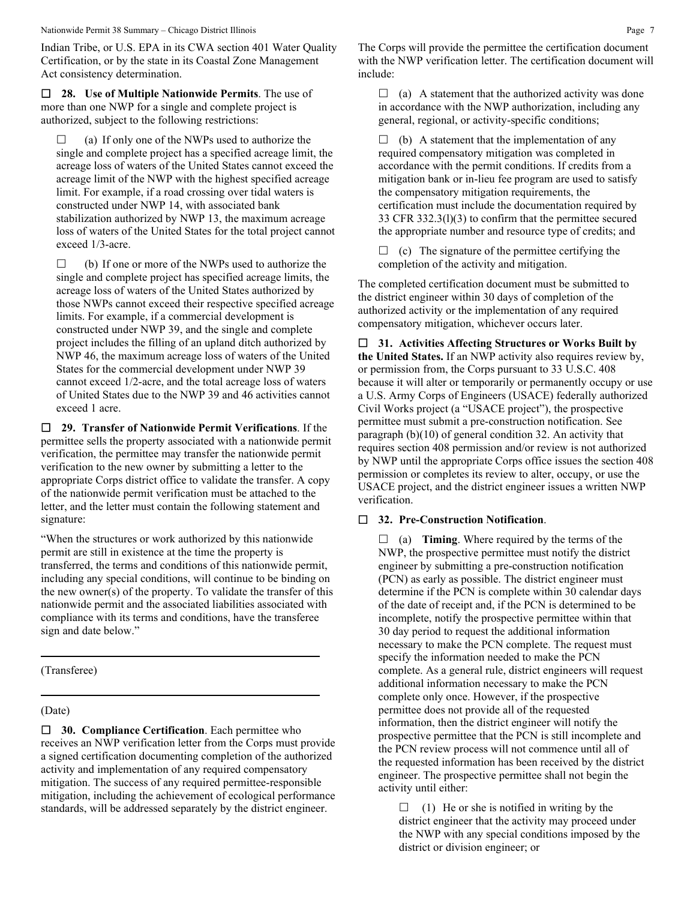Indian Tribe, or U.S. EPA in its CWA section 401 Water Quality Certification, or by the state in its Coastal Zone Management Act consistency determination.

 **28. Use of Multiple Nationwide Permits**. The use of more than one NWP for a single and complete project is authorized, subject to the following restrictions:

 $\Box$  (a) If only one of the NWPs used to authorize the single and complete project has a specified acreage limit, the acreage loss of waters of the United States cannot exceed the acreage limit of the NWP with the highest specified acreage limit. For example, if a road crossing over tidal waters is constructed under NWP 14, with associated bank stabilization authorized by NWP 13, the maximum acreage loss of waters of the United States for the total project cannot exceed 1/3-acre.

 $\Box$  (b) If one or more of the NWPs used to authorize the single and complete project has specified acreage limits, the acreage loss of waters of the United States authorized by those NWPs cannot exceed their respective specified acreage limits. For example, if a commercial development is constructed under NWP 39, and the single and complete project includes the filling of an upland ditch authorized by NWP 46, the maximum acreage loss of waters of the United States for the commercial development under NWP 39 cannot exceed 1/2-acre, and the total acreage loss of waters of United States due to the NWP 39 and 46 activities cannot exceed 1 acre.

 **29. Transfer of Nationwide Permit Verifications**. If the permittee sells the property associated with a nationwide permit verification, the permittee may transfer the nationwide permit verification to the new owner by submitting a letter to the appropriate Corps district office to validate the transfer. A copy of the nationwide permit verification must be attached to the letter, and the letter must contain the following statement and signature:

"When the structures or work authorized by this nationwide permit are still in existence at the time the property is transferred, the terms and conditions of this nationwide permit, including any special conditions, will continue to be binding on the new owner(s) of the property. To validate the transfer of this nationwide permit and the associated liabilities associated with compliance with its terms and conditions, have the transferee sign and date below."

(Transferee)

### (Date)

 **30. Compliance Certification**. Each permittee who receives an NWP verification letter from the Corps must provide a signed certification documenting completion of the authorized activity and implementation of any required compensatory mitigation. The success of any required permittee-responsible mitigation, including the achievement of ecological performance standards, will be addressed separately by the district engineer.

The Corps will provide the permittee the certification document with the NWP verification letter. The certification document will include:

 $\Box$  (a) A statement that the authorized activity was done in accordance with the NWP authorization, including any general, regional, or activity-specific conditions;

 $\Box$  (b) A statement that the implementation of any required compensatory mitigation was completed in accordance with the permit conditions. If credits from a mitigation bank or in-lieu fee program are used to satisfy the compensatory mitigation requirements, the certification must include the documentation required by 33 CFR 332.3(l)(3) to confirm that the permittee secured the appropriate number and resource type of credits; and

 $\Box$  (c) The signature of the permittee certifying the completion of the activity and mitigation.

The completed certification document must be submitted to the district engineer within 30 days of completion of the authorized activity or the implementation of any required compensatory mitigation, whichever occurs later.

 **31. Activities Affecting Structures or Works Built by the United States.** If an NWP activity also requires review by, or permission from, the Corps pursuant to 33 U.S.C. 408 because it will alter or temporarily or permanently occupy or use a U.S. Army Corps of Engineers (USACE) federally authorized Civil Works project (a "USACE project"), the prospective permittee must submit a pre-construction notification. See paragraph (b)(10) of general condition 32. An activity that requires section 408 permission and/or review is not authorized by NWP until the appropriate Corps office issues the section 408 permission or completes its review to alter, occupy, or use the USACE project, and the district engineer issues a written NWP verification.

## **32. Pre-Construction Notification**.

 $\Box$  (a) **Timing**. Where required by the terms of the NWP, the prospective permittee must notify the district engineer by submitting a pre-construction notification (PCN) as early as possible. The district engineer must determine if the PCN is complete within 30 calendar days of the date of receipt and, if the PCN is determined to be incomplete, notify the prospective permittee within that 30 day period to request the additional information necessary to make the PCN complete. The request must specify the information needed to make the PCN complete. As a general rule, district engineers will request additional information necessary to make the PCN complete only once. However, if the prospective permittee does not provide all of the requested information, then the district engineer will notify the prospective permittee that the PCN is still incomplete and the PCN review process will not commence until all of the requested information has been received by the district engineer. The prospective permittee shall not begin the activity until either:

 $\Box$  (1) He or she is notified in writing by the district engineer that the activity may proceed under the NWP with any special conditions imposed by the district or division engineer; or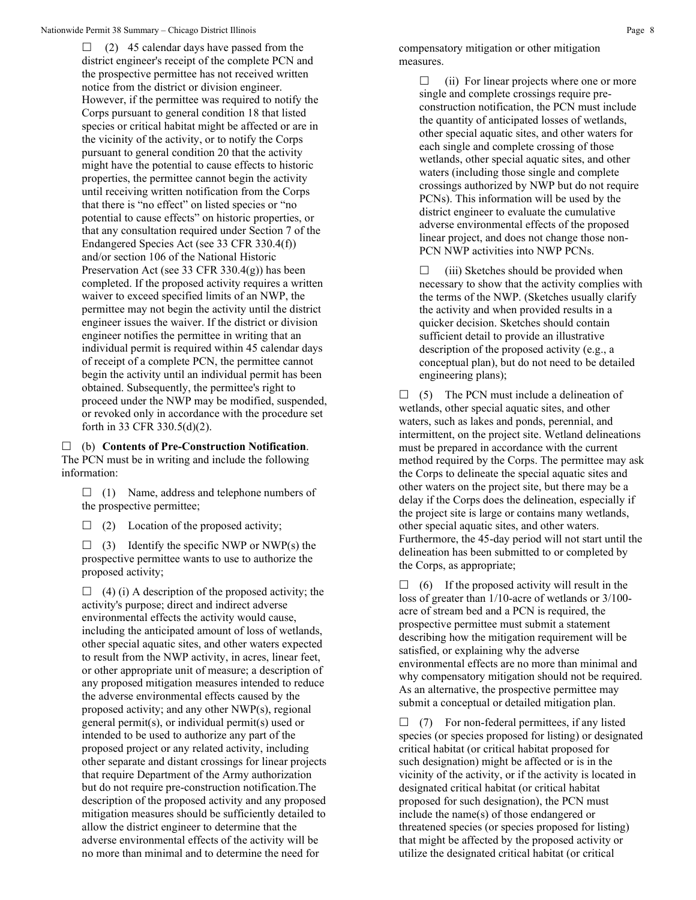$\Box$  (2) 45 calendar days have passed from the district engineer's receipt of the complete PCN and the prospective permittee has not received written notice from the district or division engineer. However, if the permittee was required to notify the Corps pursuant to general condition 18 that listed species or critical habitat might be affected or are in the vicinity of the activity, or to notify the Corps pursuant to general condition 20 that the activity might have the potential to cause effects to historic properties, the permittee cannot begin the activity until receiving written notification from the Corps that there is "no effect" on listed species or "no potential to cause effects" on historic properties, or that any consultation required under Section 7 of the Endangered Species Act (see 33 CFR 330.4(f)) and/or section 106 of the National Historic Preservation Act (see 33 CFR 330.4(g)) has been completed. If the proposed activity requires a written waiver to exceed specified limits of an NWP, the permittee may not begin the activity until the district engineer issues the waiver. If the district or division engineer notifies the permittee in writing that an individual permit is required within 45 calendar days of receipt of a complete PCN, the permittee cannot begin the activity until an individual permit has been obtained. Subsequently, the permittee's right to proceed under the NWP may be modified, suspended, or revoked only in accordance with the procedure set forth in 33 CFR 330.5(d)(2).

 (b) **Contents of Pre-Construction Notification**. The PCN must be in writing and include the following information:

 $\Box$  (1) Name, address and telephone numbers of the prospective permittee;

 $\Box$  (2) Location of the proposed activity;

 $\Box$  (3) Identify the specific NWP or NWP(s) the prospective permittee wants to use to authorize the proposed activity;

 $\Box$  (4) (i) A description of the proposed activity; the activity's purpose; direct and indirect adverse environmental effects the activity would cause, including the anticipated amount of loss of wetlands, other special aquatic sites, and other waters expected to result from the NWP activity, in acres, linear feet, or other appropriate unit of measure; a description of any proposed mitigation measures intended to reduce the adverse environmental effects caused by the proposed activity; and any other NWP(s), regional general permit(s), or individual permit(s) used or intended to be used to authorize any part of the proposed project or any related activity, including other separate and distant crossings for linear projects that require Department of the Army authorization but do not require pre-construction notification.The description of the proposed activity and any proposed mitigation measures should be sufficiently detailed to allow the district engineer to determine that the adverse environmental effects of the activity will be no more than minimal and to determine the need for

compensatory mitigation or other mitigation measures.

> $\Box$  (ii) For linear projects where one or more single and complete crossings require preconstruction notification, the PCN must include the quantity of anticipated losses of wetlands, other special aquatic sites, and other waters for each single and complete crossing of those wetlands, other special aquatic sites, and other waters (including those single and complete crossings authorized by NWP but do not require PCNs). This information will be used by the district engineer to evaluate the cumulative adverse environmental effects of the proposed linear project, and does not change those non-PCN NWP activities into NWP PCNs.

 $\Box$  (iii) Sketches should be provided when necessary to show that the activity complies with the terms of the NWP. (Sketches usually clarify the activity and when provided results in a quicker decision. Sketches should contain sufficient detail to provide an illustrative description of the proposed activity (e.g., a conceptual plan), but do not need to be detailed engineering plans);

 $\Box$  (5) The PCN must include a delineation of wetlands, other special aquatic sites, and other waters, such as lakes and ponds, perennial, and intermittent, on the project site. Wetland delineations must be prepared in accordance with the current method required by the Corps. The permittee may ask the Corps to delineate the special aquatic sites and other waters on the project site, but there may be a delay if the Corps does the delineation, especially if the project site is large or contains many wetlands, other special aquatic sites, and other waters. Furthermore, the 45-day period will not start until the delineation has been submitted to or completed by the Corps, as appropriate;

 $\Box$  (6) If the proposed activity will result in the loss of greater than 1/10-acre of wetlands or 3/100 acre of stream bed and a PCN is required, the prospective permittee must submit a statement describing how the mitigation requirement will be satisfied, or explaining why the adverse environmental effects are no more than minimal and why compensatory mitigation should not be required. As an alternative, the prospective permittee may submit a conceptual or detailed mitigation plan.

 $\Box$  (7) For non-federal permittees, if any listed species (or species proposed for listing) or designated critical habitat (or critical habitat proposed for such designation) might be affected or is in the vicinity of the activity, or if the activity is located in designated critical habitat (or critical habitat proposed for such designation), the PCN must include the name(s) of those endangered or threatened species (or species proposed for listing) that might be affected by the proposed activity or utilize the designated critical habitat (or critical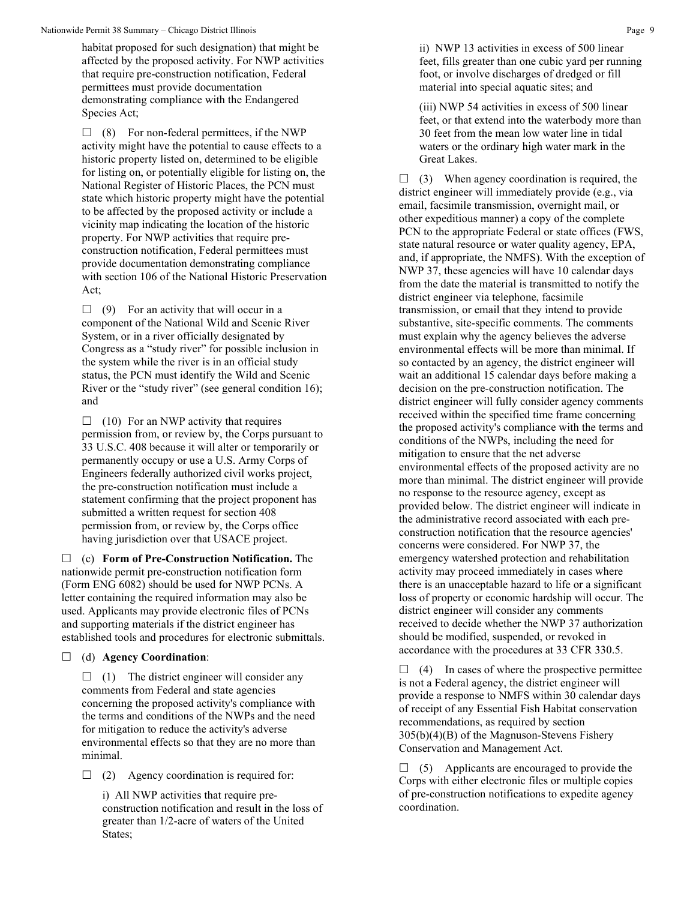habitat proposed for such designation) that might be affected by the proposed activity. For NWP activities that require pre-construction notification, Federal permittees must provide documentation demonstrating compliance with the Endangered Species Act;

 $\Box$  (8) For non-federal permittees, if the NWP activity might have the potential to cause effects to a historic property listed on, determined to be eligible for listing on, or potentially eligible for listing on, the National Register of Historic Places, the PCN must state which historic property might have the potential to be affected by the proposed activity or include a vicinity map indicating the location of the historic property. For NWP activities that require preconstruction notification, Federal permittees must provide documentation demonstrating compliance with section 106 of the National Historic Preservation Act;

 $\Box$  (9) For an activity that will occur in a component of the National Wild and Scenic River System, or in a river officially designated by Congress as a "study river" for possible inclusion in the system while the river is in an official study status, the PCN must identify the Wild and Scenic River or the "study river" (see general condition 16); and

 $\Box$  (10) For an NWP activity that requires permission from, or review by, the Corps pursuant to 33 U.S.C. 408 because it will alter or temporarily or permanently occupy or use a U.S. Army Corps of Engineers federally authorized civil works project, the pre-construction notification must include a statement confirming that the project proponent has submitted a written request for section 408 permission from, or review by, the Corps office having jurisdiction over that USACE project.

 (c) **Form of Pre-Construction Notification.** The nationwide permit pre-construction notification form (Form ENG 6082) should be used for NWP PCNs. A letter containing the required information may also be used. Applicants may provide electronic files of PCNs and supporting materials if the district engineer has established tools and procedures for electronic submittals.

### (d) **Agency Coordination**:

 $\Box$  (1) The district engineer will consider any comments from Federal and state agencies concerning the proposed activity's compliance with the terms and conditions of the NWPs and the need for mitigation to reduce the activity's adverse environmental effects so that they are no more than minimal.

 $\Box$  (2) Agency coordination is required for:

i) All NWP activities that require preconstruction notification and result in the loss of greater than 1/2-acre of waters of the United States;

ii) NWP 13 activities in excess of 500 linear feet, fills greater than one cubic yard per running foot, or involve discharges of dredged or fill material into special aquatic sites; and

(iii) NWP 54 activities in excess of 500 linear feet, or that extend into the waterbody more than 30 feet from the mean low water line in tidal waters or the ordinary high water mark in the Great Lakes.

 $\Box$  (3) When agency coordination is required, the district engineer will immediately provide (e.g., via email, facsimile transmission, overnight mail, or other expeditious manner) a copy of the complete PCN to the appropriate Federal or state offices (FWS, state natural resource or water quality agency, EPA, and, if appropriate, the NMFS). With the exception of NWP 37, these agencies will have 10 calendar days from the date the material is transmitted to notify the district engineer via telephone, facsimile transmission, or email that they intend to provide substantive, site-specific comments. The comments must explain why the agency believes the adverse environmental effects will be more than minimal. If so contacted by an agency, the district engineer will wait an additional 15 calendar days before making a decision on the pre-construction notification. The district engineer will fully consider agency comments received within the specified time frame concerning the proposed activity's compliance with the terms and conditions of the NWPs, including the need for mitigation to ensure that the net adverse environmental effects of the proposed activity are no more than minimal. The district engineer will provide no response to the resource agency, except as provided below. The district engineer will indicate in the administrative record associated with each preconstruction notification that the resource agencies' concerns were considered. For NWP 37, the emergency watershed protection and rehabilitation activity may proceed immediately in cases where there is an unacceptable hazard to life or a significant loss of property or economic hardship will occur. The district engineer will consider any comments received to decide whether the NWP 37 authorization should be modified, suspended, or revoked in accordance with the procedures at 33 CFR 330.5.

 $\Box$  (4) In cases of where the prospective permittee is not a Federal agency, the district engineer will provide a response to NMFS within 30 calendar days of receipt of any Essential Fish Habitat conservation recommendations, as required by section 305(b)(4)(B) of the Magnuson-Stevens Fishery Conservation and Management Act.

 $\Box$  (5) Applicants are encouraged to provide the Corps with either electronic files or multiple copies of pre-construction notifications to expedite agency coordination.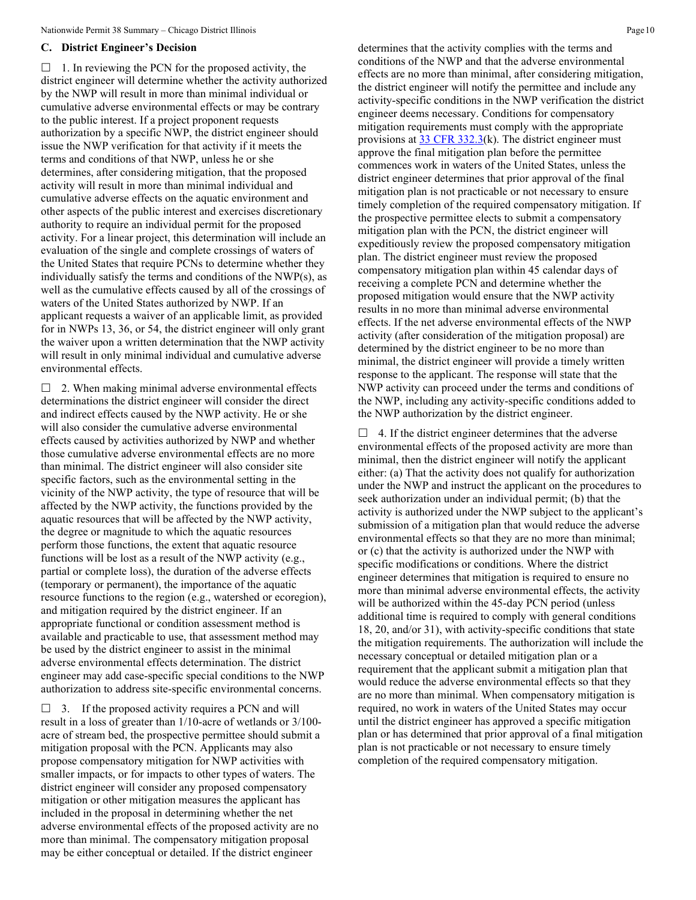#### **C. District Engineer's Decision**

 $\Box$  1. In reviewing the PCN for the proposed activity, the district engineer will determine whether the activity authorized by the NWP will result in more than minimal individual or cumulative adverse environmental effects or may be contrary to the public interest. If a project proponent requests authorization by a specific NWP, the district engineer should issue the NWP verification for that activity if it meets the terms and conditions of that NWP, unless he or she determines, after considering mitigation, that the proposed activity will result in more than minimal individual and cumulative adverse effects on the aquatic environment and other aspects of the public interest and exercises discretionary authority to require an individual permit for the proposed activity. For a linear project, this determination will include an evaluation of the single and complete crossings of waters of the United States that require PCNs to determine whether they individually satisfy the terms and conditions of the NWP(s), as well as the cumulative effects caused by all of the crossings of waters of the United States authorized by NWP. If an applicant requests a waiver of an applicable limit, as provided for in NWPs 13, 36, or 54, the district engineer will only grant the waiver upon a written determination that the NWP activity will result in only minimal individual and cumulative adverse environmental effects.

 $\Box$  2. When making minimal adverse environmental effects determinations the district engineer will consider the direct and indirect effects caused by the NWP activity. He or she will also consider the cumulative adverse environmental effects caused by activities authorized by NWP and whether those cumulative adverse environmental effects are no more than minimal. The district engineer will also consider site specific factors, such as the environmental setting in the vicinity of the NWP activity, the type of resource that will be affected by the NWP activity, the functions provided by the aquatic resources that will be affected by the NWP activity, the degree or magnitude to which the aquatic resources perform those functions, the extent that aquatic resource functions will be lost as a result of the NWP activity (e.g., partial or complete loss), the duration of the adverse effects (temporary or permanent), the importance of the aquatic resource functions to the region (e.g., watershed or ecoregion), and mitigation required by the district engineer. If an appropriate functional or condition assessment method is available and practicable to use, that assessment method may be used by the district engineer to assist in the minimal adverse environmental effects determination. The district engineer may add case-specific special conditions to the NWP authorization to address site-specific environmental concerns.

 $\Box$  3. If the proposed activity requires a PCN and will result in a loss of greater than 1/10-acre of wetlands or 3/100 acre of stream bed, the prospective permittee should submit a mitigation proposal with the PCN. Applicants may also propose compensatory mitigation for NWP activities with smaller impacts, or for impacts to other types of waters. The district engineer will consider any proposed compensatory mitigation or other mitigation measures the applicant has included in the proposal in determining whether the net adverse environmental effects of the proposed activity are no more than minimal. The compensatory mitigation proposal may be either conceptual or detailed. If the district engineer

determines that the activity complies with the terms and conditions of the NWP and that the adverse environmental effects are no more than minimal, after considering mitigation, the district engineer will notify the permittee and include any activity-specific conditions in the NWP verification the district engineer deems necessary. Conditions for compensatory mitigation requirements must comply with the appropriate provisions at  $33$  CFR 332.3(k). The district engineer must approve the final mitigation plan before the permittee commences work in waters of the United States, unless the district engineer determines that prior approval of the final mitigation plan is not practicable or not necessary to ensure timely completion of the required compensatory mitigation. If the prospective permittee elects to submit a compensatory mitigation plan with the PCN, the district engineer will expeditiously review the proposed compensatory mitigation plan. The district engineer must review the proposed compensatory mitigation plan within 45 calendar days of receiving a complete PCN and determine whether the proposed mitigation would ensure that the NWP activity results in no more than minimal adverse environmental effects. If the net adverse environmental effects of the NWP activity (after consideration of the mitigation proposal) are determined by the district engineer to be no more than minimal, the district engineer will provide a timely written response to the applicant. The response will state that the NWP activity can proceed under the terms and conditions of the NWP, including any activity-specific conditions added to the NWP authorization by the district engineer.

 $\Box$  4. If the district engineer determines that the adverse environmental effects of the proposed activity are more than minimal, then the district engineer will notify the applicant either: (a) That the activity does not qualify for authorization under the NWP and instruct the applicant on the procedures to seek authorization under an individual permit; (b) that the activity is authorized under the NWP subject to the applicant's submission of a mitigation plan that would reduce the adverse environmental effects so that they are no more than minimal; or (c) that the activity is authorized under the NWP with specific modifications or conditions. Where the district engineer determines that mitigation is required to ensure no more than minimal adverse environmental effects, the activity will be authorized within the 45-day PCN period (unless additional time is required to comply with general conditions 18, 20, and/or 31), with activity-specific conditions that state the mitigation requirements. The authorization will include the necessary conceptual or detailed mitigation plan or a requirement that the applicant submit a mitigation plan that would reduce the adverse environmental effects so that they are no more than minimal. When compensatory mitigation is required, no work in waters of the United States may occur until the district engineer has approved a specific mitigation plan or has determined that prior approval of a final mitigation plan is not practicable or not necessary to ensure timely completion of the required compensatory mitigation.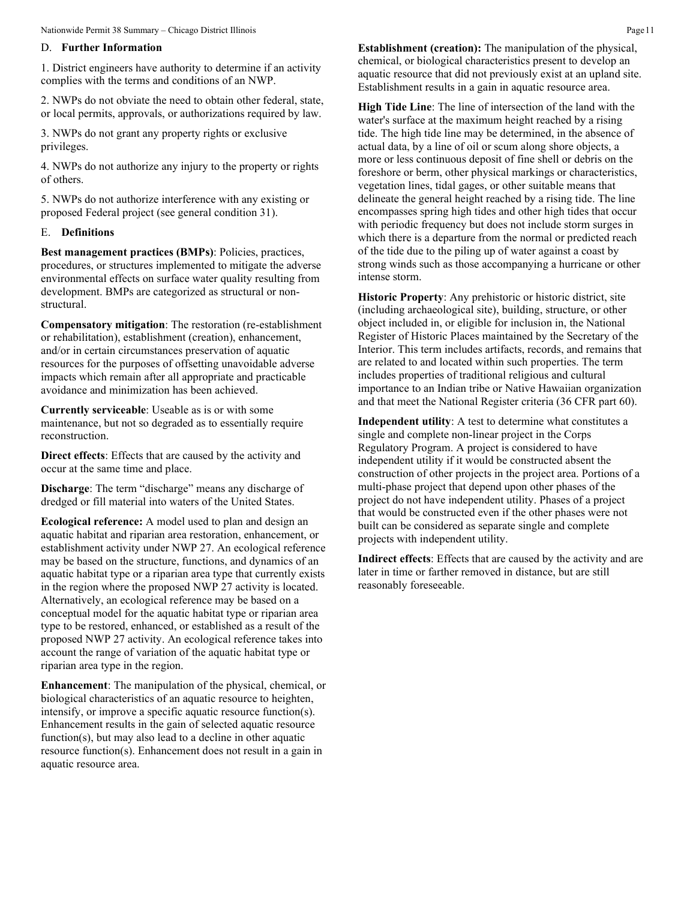#### D. **Further Information**

1. District engineers have authority to determine if an activity complies with the terms and conditions of an NWP.

2. NWPs do not obviate the need to obtain other federal, state, or local permits, approvals, or authorizations required by law.

3. NWPs do not grant any property rights or exclusive privileges.

4. NWPs do not authorize any injury to the property or rights of others.

5. NWPs do not authorize interference with any existing or proposed Federal project (see general condition 31).

#### E. **Definitions**

**Best management practices (BMPs)**: Policies, practices, procedures, or structures implemented to mitigate the adverse environmental effects on surface water quality resulting from development. BMPs are categorized as structural or nonstructural.

**Compensatory mitigation**: The restoration (re-establishment or rehabilitation), establishment (creation), enhancement, and/or in certain circumstances preservation of aquatic resources for the purposes of offsetting unavoidable adverse impacts which remain after all appropriate and practicable avoidance and minimization has been achieved.

**Currently serviceable**: Useable as is or with some maintenance, but not so degraded as to essentially require reconstruction.

**Direct effects**: Effects that are caused by the activity and occur at the same time and place.

**Discharge:** The term "discharge" means any discharge of dredged or fill material into waters of the United States.

**Ecological reference:** A model used to plan and design an aquatic habitat and riparian area restoration, enhancement, or establishment activity under NWP 27. An ecological reference may be based on the structure, functions, and dynamics of an aquatic habitat type or a riparian area type that currently exists in the region where the proposed NWP 27 activity is located. Alternatively, an ecological reference may be based on a conceptual model for the aquatic habitat type or riparian area type to be restored, enhanced, or established as a result of the proposed NWP 27 activity. An ecological reference takes into account the range of variation of the aquatic habitat type or riparian area type in the region.

**Enhancement**: The manipulation of the physical, chemical, or biological characteristics of an aquatic resource to heighten, intensify, or improve a specific aquatic resource function(s). Enhancement results in the gain of selected aquatic resource function(s), but may also lead to a decline in other aquatic resource function(s). Enhancement does not result in a gain in aquatic resource area.

**Establishment (creation):** The manipulation of the physical, chemical, or biological characteristics present to develop an aquatic resource that did not previously exist at an upland site. Establishment results in a gain in aquatic resource area.

**High Tide Line**: The line of intersection of the land with the water's surface at the maximum height reached by a rising tide. The high tide line may be determined, in the absence of actual data, by a line of oil or scum along shore objects, a more or less continuous deposit of fine shell or debris on the foreshore or berm, other physical markings or characteristics, vegetation lines, tidal gages, or other suitable means that delineate the general height reached by a rising tide. The line encompasses spring high tides and other high tides that occur with periodic frequency but does not include storm surges in which there is a departure from the normal or predicted reach of the tide due to the piling up of water against a coast by strong winds such as those accompanying a hurricane or other intense storm.

**Historic Property**: Any prehistoric or historic district, site (including archaeological site), building, structure, or other object included in, or eligible for inclusion in, the National Register of Historic Places maintained by the Secretary of the Interior. This term includes artifacts, records, and remains that are related to and located within such properties. The term includes properties of traditional religious and cultural importance to an Indian tribe or Native Hawaiian organization and that meet the National Register criteria (36 CFR part 60).

**Independent utility**: A test to determine what constitutes a single and complete non-linear project in the Corps Regulatory Program. A project is considered to have independent utility if it would be constructed absent the construction of other projects in the project area. Portions of a multi-phase project that depend upon other phases of the project do not have independent utility. Phases of a project that would be constructed even if the other phases were not built can be considered as separate single and complete projects with independent utility.

**Indirect effects**: Effects that are caused by the activity and are later in time or farther removed in distance, but are still reasonably foreseeable.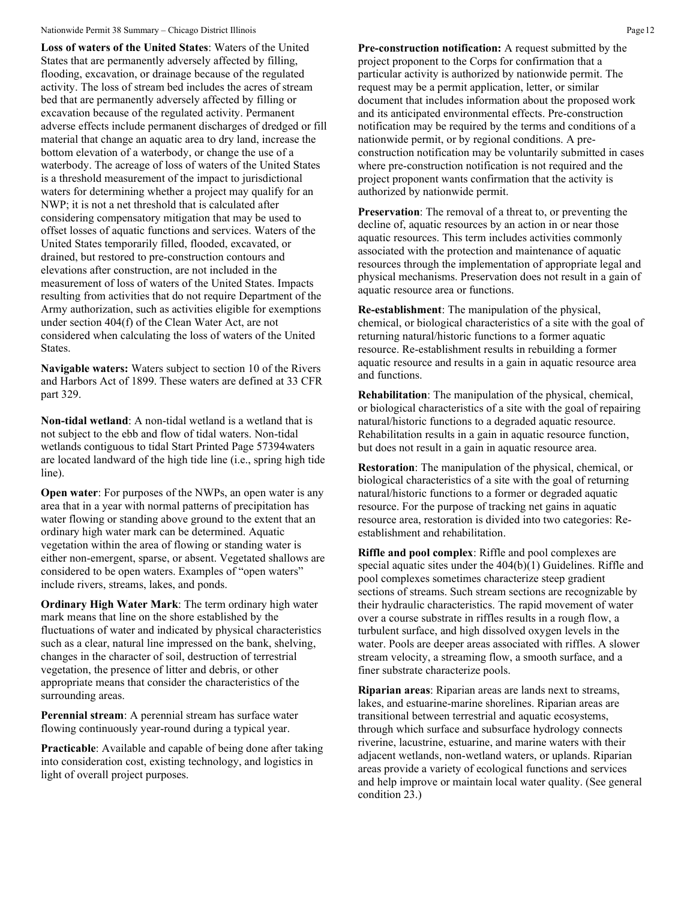#### Nationwide Permit 38 Summary – Chicago District Illinois **Page 12** Page 12

**Loss of waters of the United States**: Waters of the United States that are permanently adversely affected by filling, flooding, excavation, or drainage because of the regulated activity. The loss of stream bed includes the acres of stream bed that are permanently adversely affected by filling or excavation because of the regulated activity. Permanent adverse effects include permanent discharges of dredged or fill material that change an aquatic area to dry land, increase the bottom elevation of a waterbody, or change the use of a waterbody. The acreage of loss of waters of the United States is a threshold measurement of the impact to jurisdictional waters for determining whether a project may qualify for an NWP; it is not a net threshold that is calculated after considering compensatory mitigation that may be used to offset losses of aquatic functions and services. Waters of the United States temporarily filled, flooded, excavated, or drained, but restored to pre-construction contours and elevations after construction, are not included in the measurement of loss of waters of the United States. Impacts resulting from activities that do not require Department of the Army authorization, such as activities eligible for exemptions under section 404(f) of the Clean Water Act, are not considered when calculating the loss of waters of the United States.

**Navigable waters:** Waters subject to section 10 of the Rivers and Harbors Act of 1899. These waters are defined at 33 CFR part 329.

**Non-tidal wetland**: A non-tidal wetland is a wetland that is not subject to the ebb and flow of tidal waters. Non-tidal wetlands contiguous to tidal Start Printed Page 57394waters are located landward of the high tide line (i.e., spring high tide line).

**Open water**: For purposes of the NWPs, an open water is any area that in a year with normal patterns of precipitation has water flowing or standing above ground to the extent that an ordinary high water mark can be determined. Aquatic vegetation within the area of flowing or standing water is either non-emergent, sparse, or absent. Vegetated shallows are considered to be open waters. Examples of "open waters" include rivers, streams, lakes, and ponds.

**Ordinary High Water Mark**: The term ordinary high water mark means that line on the shore established by the fluctuations of water and indicated by physical characteristics such as a clear, natural line impressed on the bank, shelving, changes in the character of soil, destruction of terrestrial vegetation, the presence of litter and debris, or other appropriate means that consider the characteristics of the surrounding areas.

**Perennial stream**: A perennial stream has surface water flowing continuously year-round during a typical year.

**Practicable**: Available and capable of being done after taking into consideration cost, existing technology, and logistics in light of overall project purposes.

**Pre-construction notification:** A request submitted by the project proponent to the Corps for confirmation that a particular activity is authorized by nationwide permit. The request may be a permit application, letter, or similar document that includes information about the proposed work and its anticipated environmental effects. Pre-construction notification may be required by the terms and conditions of a nationwide permit, or by regional conditions. A preconstruction notification may be voluntarily submitted in cases where pre-construction notification is not required and the project proponent wants confirmation that the activity is authorized by nationwide permit.

**Preservation**: The removal of a threat to, or preventing the decline of, aquatic resources by an action in or near those aquatic resources. This term includes activities commonly associated with the protection and maintenance of aquatic resources through the implementation of appropriate legal and physical mechanisms. Preservation does not result in a gain of aquatic resource area or functions.

**Re-establishment**: The manipulation of the physical, chemical, or biological characteristics of a site with the goal of returning natural/historic functions to a former aquatic resource. Re-establishment results in rebuilding a former aquatic resource and results in a gain in aquatic resource area and functions.

**Rehabilitation**: The manipulation of the physical, chemical, or biological characteristics of a site with the goal of repairing natural/historic functions to a degraded aquatic resource. Rehabilitation results in a gain in aquatic resource function, but does not result in a gain in aquatic resource area.

**Restoration**: The manipulation of the physical, chemical, or biological characteristics of a site with the goal of returning natural/historic functions to a former or degraded aquatic resource. For the purpose of tracking net gains in aquatic resource area, restoration is divided into two categories: Reestablishment and rehabilitation.

**Riffle and pool complex**: Riffle and pool complexes are special aquatic sites under the 404(b)(1) Guidelines. Riffle and pool complexes sometimes characterize steep gradient sections of streams. Such stream sections are recognizable by their hydraulic characteristics. The rapid movement of water over a course substrate in riffles results in a rough flow, a turbulent surface, and high dissolved oxygen levels in the water. Pools are deeper areas associated with riffles. A slower stream velocity, a streaming flow, a smooth surface, and a finer substrate characterize pools.

**Riparian areas**: Riparian areas are lands next to streams, lakes, and estuarine-marine shorelines. Riparian areas are transitional between terrestrial and aquatic ecosystems, through which surface and subsurface hydrology connects riverine, lacustrine, estuarine, and marine waters with their adjacent wetlands, non-wetland waters, or uplands. Riparian areas provide a variety of ecological functions and services and help improve or maintain local water quality. (See general condition 23.)